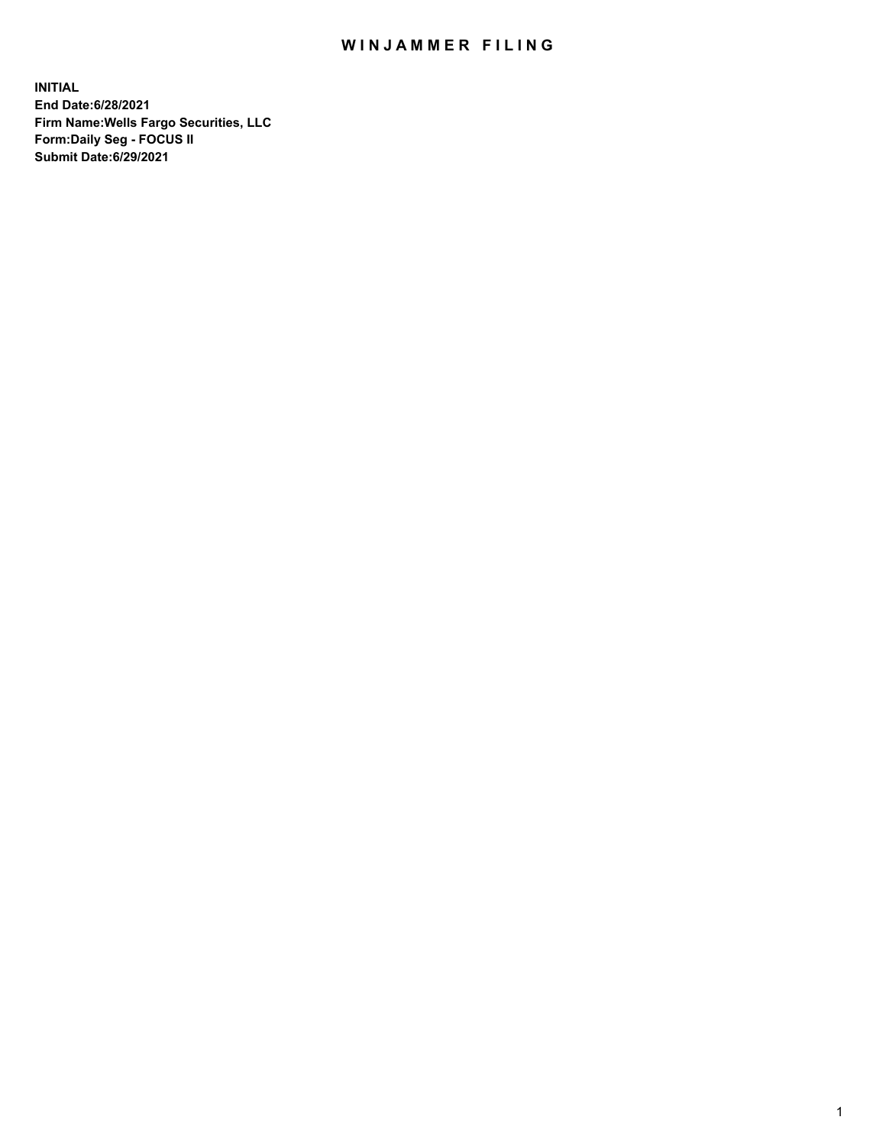## WIN JAMMER FILING

**INITIAL End Date:6/28/2021 Firm Name:Wells Fargo Securities, LLC Form:Daily Seg - FOCUS II Submit Date:6/29/2021**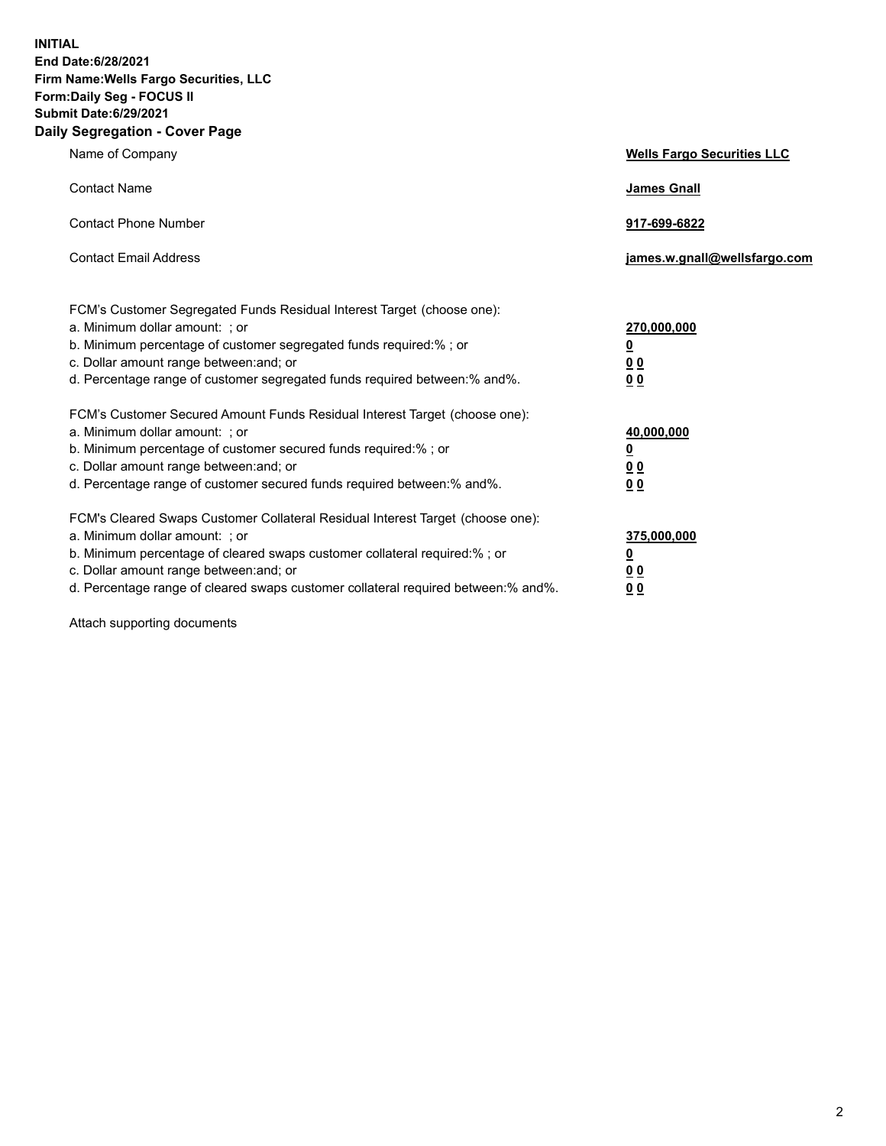**INITIAL End Date:6/28/2021 Firm Name:Wells Fargo Securities, LLC Form:Daily Seg - FOCUS II Submit Date:6/29/2021 Daily Segregation - Cover Page**

| Name of Company                                                                                                                                                                                                                                                                                                                | <b>Wells Fargo Securities LLC</b>                          |
|--------------------------------------------------------------------------------------------------------------------------------------------------------------------------------------------------------------------------------------------------------------------------------------------------------------------------------|------------------------------------------------------------|
| <b>Contact Name</b>                                                                                                                                                                                                                                                                                                            | <b>James Gnall</b>                                         |
| <b>Contact Phone Number</b>                                                                                                                                                                                                                                                                                                    | 917-699-6822                                               |
| <b>Contact Email Address</b>                                                                                                                                                                                                                                                                                                   | james.w.gnall@wellsfargo.com                               |
| FCM's Customer Segregated Funds Residual Interest Target (choose one):<br>a. Minimum dollar amount: ; or<br>b. Minimum percentage of customer segregated funds required:% ; or<br>c. Dollar amount range between: and; or<br>d. Percentage range of customer segregated funds required between: % and %.                       | 270,000,000<br><u>0</u><br><u>00</u><br>0 <sub>0</sub>     |
| FCM's Customer Secured Amount Funds Residual Interest Target (choose one):<br>a. Minimum dollar amount: ; or<br>b. Minimum percentage of customer secured funds required:% ; or<br>c. Dollar amount range between: and; or<br>d. Percentage range of customer secured funds required between: % and %.                         | 40,000,000<br><u>0</u><br>0 <sub>0</sub><br>0 <sub>0</sub> |
| FCM's Cleared Swaps Customer Collateral Residual Interest Target (choose one):<br>a. Minimum dollar amount: ; or<br>b. Minimum percentage of cleared swaps customer collateral required:% ; or<br>c. Dollar amount range between: and; or<br>d. Percentage range of cleared swaps customer collateral required between:% and%. | 375,000,000<br><u>0</u><br>00<br><u>00</u>                 |

Attach supporting documents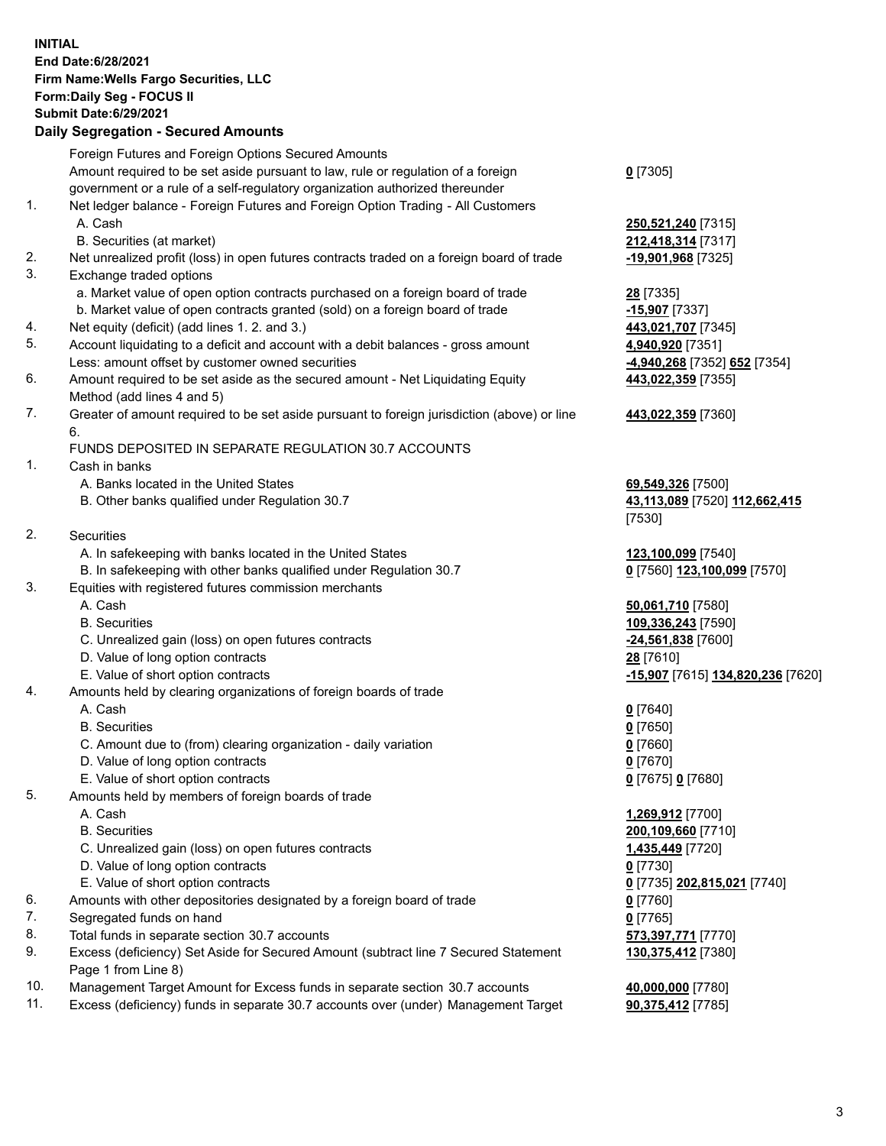**INITIAL End Date:6/28/2021 Firm Name:Wells Fargo Securities, LLC Form:Daily Seg - FOCUS II Submit Date:6/29/2021 Daily Segregation - Secured Amounts**

## Foreign Futures and Foreign Options Secured Amounts Amount required to be set aside pursuant to law, rule or regulation of a foreign government or a rule of a self-regulatory organization authorized thereunder 1. Net ledger balance - Foreign Futures and Foreign Option Trading - All Customers A. Cash **250,521,240** [7315] B. Securities (at market) **212,418,314** [7317] 2. Net unrealized profit (loss) in open futures contracts traded on a foreign board of trade **-19,901,968** [7325] 3. Exchange traded options a. Market value of open option contracts purchased on a foreign board of trade **28** [7335] b. Market value of open contracts granted (sold) on a foreign board of trade **-15,907** [7337] 4. Net equity (deficit) (add lines 1. 2. and 3.) **443,021,707** [7345] 5. Account liquidating to a deficit and account with a debit balances - gross amount **4,940,920** [7351] Less: amount offset by customer owned securities **-4,940,268** [7352] **652** [7354] 6. Amount required to be set aside as the secured amount - Net Liquidating Equity Method (add lines 4 and 5) 7. Greater of amount required to be set aside pursuant to foreign jurisdiction (above) or line 6. FUNDS DEPOSITED IN SEPARATE REGULATION 30.7 ACCOUNTS 1. Cash in banks A. Banks located in the United States **69,549,326** [7500] B. Other banks qualified under Regulation 30.7 **43,113,089** [7520] **112,662,415**

2. Securities

- A. In safekeeping with banks located in the United States **123,100,099** [7540]
- B. In safekeeping with other banks qualified under Regulation 30.7 **0** [7560] **123,100,099** [7570]

## 3. Equities with registered futures commission merchants

- 
- 
- C. Unrealized gain (loss) on open futures contracts **-24,561,838** [7600]
- D. Value of long option contracts **28** [7610]
- 
- 4. Amounts held by clearing organizations of foreign boards of trade
	- A. Cash **0** [7640]
	- B. Securities **0** [7650]
	- C. Amount due to (from) clearing organization daily variation **0** [7660]
	- D. Value of long option contracts **0** [7670]
	- E. Value of short option contracts **0** [7675] **0** [7680]
- 5. Amounts held by members of foreign boards of trade
	-
	-
	- C. Unrealized gain (loss) on open futures contracts **1,435,449** [7720]
	- D. Value of long option contracts **0** [7730]
	- E. Value of short option contracts **0** [7735] **202,815,021** [7740]
- 6. Amounts with other depositories designated by a foreign board of trade **0** [7760]
- 7. Segregated funds on hand **0** [7765]
- 8. Total funds in separate section 30.7 accounts **573,397,771** [7770]
- 9. Excess (deficiency) Set Aside for Secured Amount (subtract line 7 Secured Statement Page 1 from Line 8)
- 10. Management Target Amount for Excess funds in separate section 30.7 accounts **40,000,000** [7780]
- 11. Excess (deficiency) funds in separate 30.7 accounts over (under) Management Target **90,375,412** [7785]

**0** [7305]

**443,022,359** [7355]

**443,022,359** [7360]

[7530]

 A. Cash **50,061,710** [7580] B. Securities **109,336,243** [7590] E. Value of short option contracts **-15,907** [7615] **134,820,236** [7620]

 A. Cash **1,269,912** [7700] B. Securities **200,109,660** [7710] **130,375,412** [7380]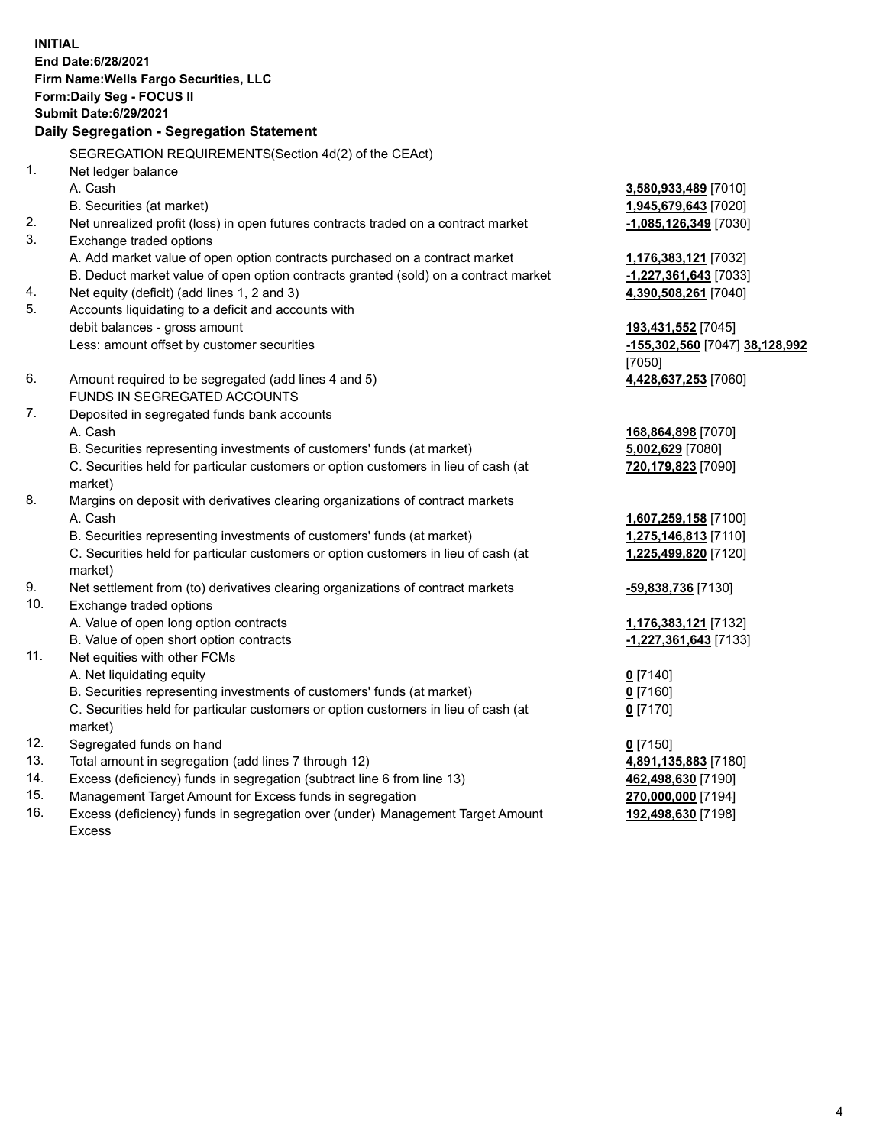**INITIAL End Date:6/28/2021 Firm Name:Wells Fargo Securities, LLC Form:Daily Seg - FOCUS II Submit Date:6/29/2021**

## **Daily Segregation - Segregation Statement**

SEGREGATION REQUIREMENTS(Section 4d(2) of the CEAct)

|     | $D = 0$ , if is in the secondary is the coupling of the second $D = 0$              |                                |
|-----|-------------------------------------------------------------------------------------|--------------------------------|
| 1.  | Net ledger balance                                                                  |                                |
|     | A. Cash                                                                             | 3,580,933,489 [7010]           |
|     | B. Securities (at market)                                                           | 1,945,679,643 [7020]           |
| 2.  | Net unrealized profit (loss) in open futures contracts traded on a contract market  | $-1,085,126,349$ [7030]        |
| 3.  | Exchange traded options                                                             |                                |
|     | A. Add market value of open option contracts purchased on a contract market         | 1,176,383,121 [7032]           |
|     | B. Deduct market value of open option contracts granted (sold) on a contract market | -1,227,361,643 [7033]          |
| 4.  | Net equity (deficit) (add lines 1, 2 and 3)                                         | 4,390,508,261 [7040]           |
| 5.  | Accounts liquidating to a deficit and accounts with                                 |                                |
|     | debit balances - gross amount                                                       | 193,431,552 [7045]             |
|     | Less: amount offset by customer securities                                          | -155,302,560 [7047] 38,128,992 |
|     |                                                                                     | [7050]                         |
| 6.  | Amount required to be segregated (add lines 4 and 5)                                | 4,428,637,253 [7060]           |
|     | FUNDS IN SEGREGATED ACCOUNTS                                                        |                                |
| 7.  | Deposited in segregated funds bank accounts                                         |                                |
|     | A. Cash                                                                             | 168,864,898 [7070]             |
|     | B. Securities representing investments of customers' funds (at market)              | 5,002,629 [7080]               |
|     | C. Securities held for particular customers or option customers in lieu of cash (at | 720,179,823 [7090]             |
|     | market)                                                                             |                                |
| 8.  | Margins on deposit with derivatives clearing organizations of contract markets      |                                |
|     | A. Cash                                                                             | 1,607,259,158 [7100]           |
|     | B. Securities representing investments of customers' funds (at market)              | 1,275,146,813 [7110]           |
|     | C. Securities held for particular customers or option customers in lieu of cash (at | 1,225,499,820 [7120]           |
|     | market)                                                                             |                                |
| 9.  | Net settlement from (to) derivatives clearing organizations of contract markets     | -59,838,736 [7130]             |
| 10. | Exchange traded options                                                             |                                |
|     | A. Value of open long option contracts                                              | 1,176,383,121 [7132]           |
|     | B. Value of open short option contracts                                             | $-1,227,361,643$ [7133]        |
| 11. | Net equities with other FCMs                                                        |                                |
|     | A. Net liquidating equity                                                           | $0$ [7140]                     |
|     | B. Securities representing investments of customers' funds (at market)              | $0$ [7160]                     |
|     | C. Securities held for particular customers or option customers in lieu of cash (at | $0$ [7170]                     |
|     | market)                                                                             |                                |
| 12. | Segregated funds on hand                                                            | $0$ [7150]                     |
| 13. | Total amount in segregation (add lines 7 through 12)                                | 4,891,135,883 [7180]           |
| 14. | Excess (deficiency) funds in segregation (subtract line 6 from line 13)             | 462,498,630 [7190]             |
| 15. | Management Target Amount for Excess funds in segregation                            | 270,000,000 [7194]             |
| 16. | Excess (deficiency) funds in segregation over (under) Management Target Amount      | 192,498,630 [7198]             |
|     | Excess                                                                              |                                |